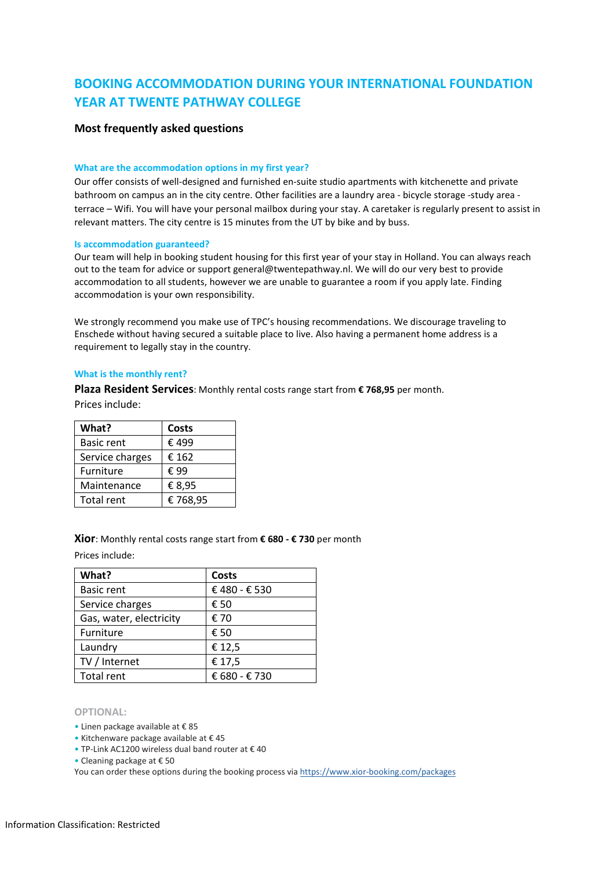# **BOOKING ACCOMMODATION DURING YOUR INTERNATIONAL FOUNDATION YEAR AT TWENTE PATHWAY COLLEGE**

# **Most frequently asked questions**

#### **What are the accommodation options in my first year?**

Our offer consists of well-designed and furnished en-suite studio apartments with kitchenette and private bathroom on campus an in the city centre. Other facilities are a laundry area - bicycle storage -study area terrace – Wifi. You will have your personal mailbox during your stay. A caretaker is regularly present to assist in relevant matters. The city centre is 15 minutes from the UT by bike and by buss.

#### **Is accommodation guaranteed?**

Our team will help in booking student housing for this first year of your stay in Holland. You can always reach out to the team for advice or support general@twentepathway.nl. We will do our very best to provide accommodation to all students, however we are unable to guarantee a room if you apply late. Finding accommodation is your own responsibility.

We strongly recommend you make use of TPC's housing recommendations. We discourage traveling to Enschede without having secured a suitable place to live. Also having a permanent home address is a requirement to legally stay in the country.

#### **What is the monthly rent?**

**Plaza Resident Services**: Monthly rental costs range start from **€ 768,95** per month.

Prices include:

| What?             | Costs   |
|-------------------|---------|
| <b>Basic rent</b> | € 499   |
| Service charges   | € 162   |
| <b>Furniture</b>  | € 99    |
| Maintenance       | € 8,95  |
| <b>Total rent</b> | €768,95 |

**Xior**: Monthly rental costs range start from **€ 680 - € 730** per month

Prices include:

| What?                   | <b>Costs</b>  |
|-------------------------|---------------|
| <b>Basic rent</b>       | €480 - €530   |
| Service charges         | € 50          |
| Gas, water, electricity | € 70          |
| Furniture               | € 50          |
| Laundry                 | € 12,5        |
| TV / Internet           | € 17,5        |
| <b>Total rent</b>       | € 680 - € 730 |

#### **OPTIONAL:**

• Linen package available at € 85

• Kitchenware package available at € 45

• TP-Link AC1200 wireless dual band router at € 40

• Cleaning package at € 50

You can order these options during the booking process via https://www.xior-booking.com/packages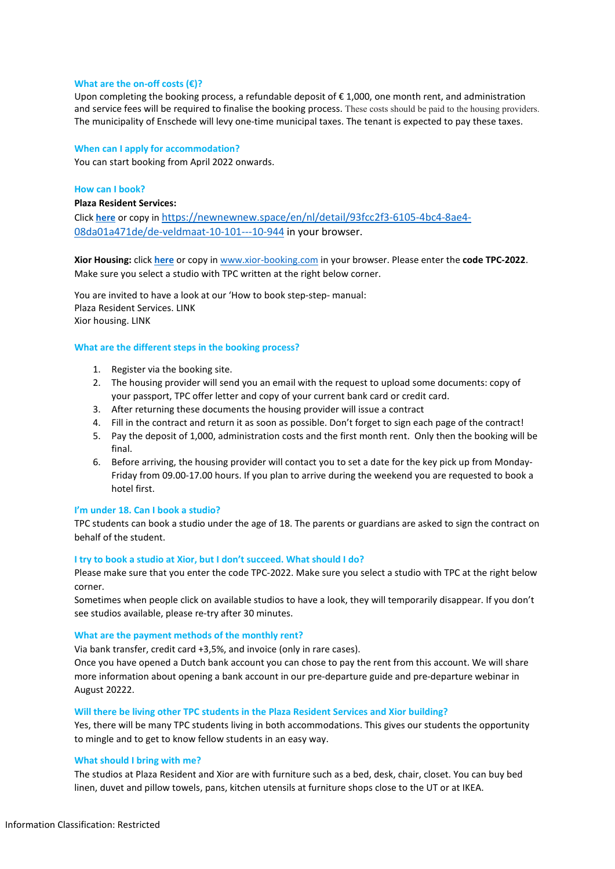#### **What are the on-off costs (€)?**

Upon completing the booking process, a refundable deposit of €1,000, one month rent, and administration and service fees will be required to finalise the booking process. These costs should be paid to the housing providers. The municipality of Enschede will levy one-time municipal taxes. The tenant is expected to pay these taxes.

#### **When can I apply for accommodation?**

You can start booking from April 2022 onwards.

# **How can I book?**

#### **Plaza Resident Services:**

Click **[here](https://newnewnew.space/en/nl/detail/93fcc2f3-6105-4bc4-8ae4-08da01a471de/de-veldmaat-10-101---10-944)** or copy i[n https://newnewnew.space/en/nl/detail/93fcc2f3-6105-4bc4-8ae4-](https://newnewnew.space/en/nl/detail/93fcc2f3-6105-4bc4-8ae4-08da01a471de/de-veldmaat-10-101---10-944) [08da01a471de/de-veldmaat-10-101---10-944](https://newnewnew.space/en/nl/detail/93fcc2f3-6105-4bc4-8ae4-08da01a471de/de-veldmaat-10-101---10-944) in your browser.

**Xior Housing:** click **[here](http://www.xior-booking.com/)** or copy in [www.xior-booking.com](http://www.xior-booking.com/) in your browser. Please enter the **code TPC-2022**. Make sure you select a studio with TPC written at the right below corner.

You are invited to have a look at our 'How to book step-step- manual: Plaza Resident Services. LINK Xior housing. LINK

# **What are the different steps in the booking process?**

- 1. Register via the booking site.
- 2. The housing provider will send you an email with the request to upload some documents: copy of your passport, TPC offer letter and copy of your current bank card or credit card.
- 3. After returning these documents the housing provider will issue a contract
- 4. Fill in the contract and return it as soon as possible. Don't forget to sign each page of the contract!
- 5. Pay the deposit of 1,000, administration costs and the first month rent. Only then the booking will be final.
- 6. Before arriving, the housing provider will contact you to set a date for the key pick up from Monday-Friday from 09.00-17.00 hours. If you plan to arrive during the weekend you are requested to book a hotel first.

#### **I'm under 18. Can I book a studio?**

TPC students can book a studio under the age of 18. The parents or guardians are asked to sign the contract on behalf of the student.

#### **I try to book a studio at Xior, but I don't succeed. What should I do?**

Please make sure that you enter the code TPC-2022. Make sure you select a studio with TPC at the right below corner.

Sometimes when people click on available studios to have a look, they will temporarily disappear. If you don't see studios available, please re-try after 30 minutes.

#### **What are the payment methods of the monthly rent?**

Via bank transfer, credit card +3,5%, and invoice (only in rare cases).

Once you have opened a Dutch bank account you can chose to pay the rent from this account. We will share more information about opening a bank account in our pre-departure guide and pre-departure webinar in August 20222.

#### **Will there be living other TPC students in the Plaza Resident Services and Xior building?**

Yes, there will be many TPC students living in both accommodations. This gives our students the opportunity to mingle and to get to know fellow students in an easy way.

# **What should I bring with me?**

The studios at Plaza Resident and Xior are with furniture such as a bed, desk, chair, closet. You can buy bed linen, duvet and pillow towels, pans, kitchen utensils at furniture shops close to the UT or at IKEA.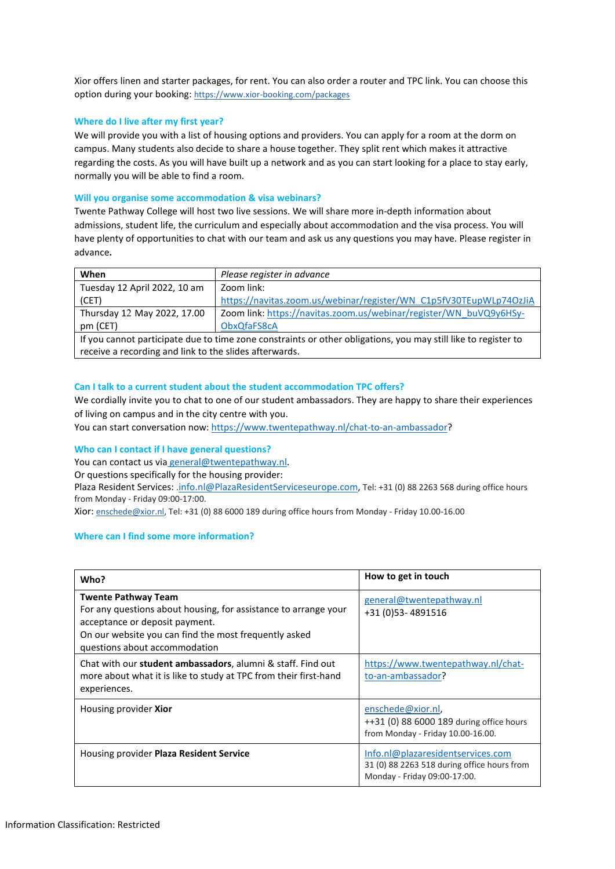Xior offers linen and starter packages, for rent. You can also order a router and TPC link. You can choose this option during your booking: https://www.xior-booking.com/packages

# **Where do I live after my first year?**

We will provide you with a list of housing options and providers. You can apply for a room at the dorm on campus. Many students also decide to share a house together. They split rent which makes it attractive regarding the costs. As you will have built up a network and as you can start looking for a place to stay early, normally you will be able to find a room.

# **Will you organise some accommodation & visa webinars?**

Twente Pathway College will host two live sessions. We will share more in-depth information about admissions, student life, the curriculum and especially about accommodation and the visa process. You will have plenty of opportunities to chat with our team and ask us any questions you may have. Please register in advance**.**

| When                                                                                                           | Please register in advance                                         |  |
|----------------------------------------------------------------------------------------------------------------|--------------------------------------------------------------------|--|
| Tuesday 12 April 2022, 10 am                                                                                   | Zoom link:                                                         |  |
| (CET)                                                                                                          | https://navitas.zoom.us/webinar/register/WN_C1p5fV30TEupWLp74OzJiA |  |
| Thursday 12 May 2022, 17.00                                                                                    | Zoom link: https://navitas.zoom.us/webinar/register/WN_buVQ9y6HSy- |  |
| pm (CET)                                                                                                       | ObxQfaFS8cA                                                        |  |
| If you cannot participate due to time zone constraints or other obligations, you may still like to register to |                                                                    |  |
| receive a recording and link to the slides afterwards.                                                         |                                                                    |  |

# **Can I talk to a current student about the student accommodation TPC offers?**

We cordially invite you to chat to one of our student ambassadors. They are happy to share their experiences of living on campus and in the city centre with you.

You can start conversation now: [https://www.twentepathway.nl/chat-to-an-ambassador?](https://www.twentepathway.nl/chat-to-an-ambassador)

#### **Who can I contact if I have general questions?**

You can contact us via [general@twentepathway.nl.](mailto:general@twentepathway.nl)

Or questions specifically for the housing provider:

Plaza Resident Services: .jnfo.nl@PlazaResidentServiceseurope.com, Tel: +31 (0) 88 2263 568 during office hours from Monday - Friday 09:00-17:00.

Xior: enschede@xior.nl, Tel: +31 (0) 88 6000 189 during office hours from Monday - Friday 10.00-16.00

# **Where can I find some more information?**

| Who?                                                                                                                                                                                                                      | How to get in touch                                                                                              |
|---------------------------------------------------------------------------------------------------------------------------------------------------------------------------------------------------------------------------|------------------------------------------------------------------------------------------------------------------|
| <b>Twente Pathway Team</b><br>For any questions about housing, for assistance to arrange your<br>acceptance or deposit payment.<br>On our website you can find the most frequently asked<br>questions about accommodation | general@twentepathway.nl<br>+31 (0)53-4891516                                                                    |
| Chat with our student ambassadors, alumni & staff. Find out<br>more about what it is like to study at TPC from their first-hand<br>experiences.                                                                           | https://www.twentepathway.nl/chat-<br>to-an-ambassador?                                                          |
| Housing provider Xior                                                                                                                                                                                                     | enschede@xior.nl,<br>++31 (0) 88 6000 189 during office hours<br>from Monday - Friday 10.00-16.00.               |
| Housing provider Plaza Resident Service                                                                                                                                                                                   | Info.nl@plazaresidentservices.com<br>31 (0) 88 2263 518 during office hours from<br>Monday - Friday 09:00-17:00. |